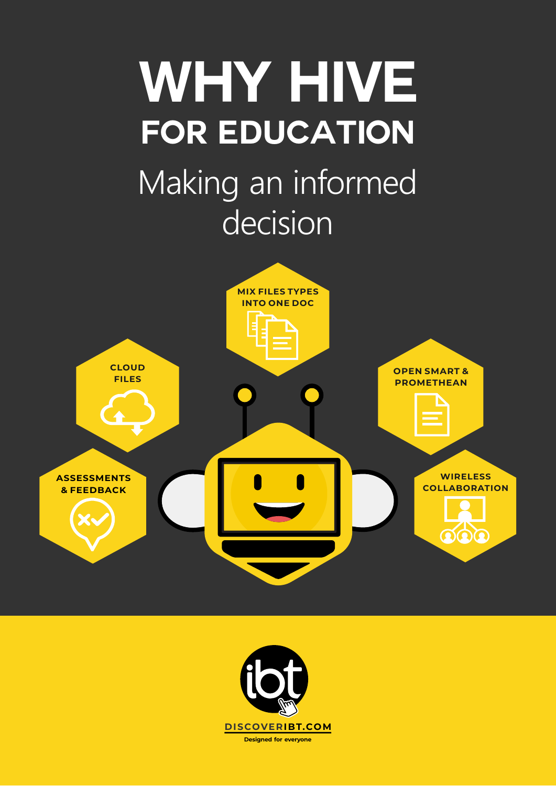### **WHY HIVE** Making an informed decision **for education**



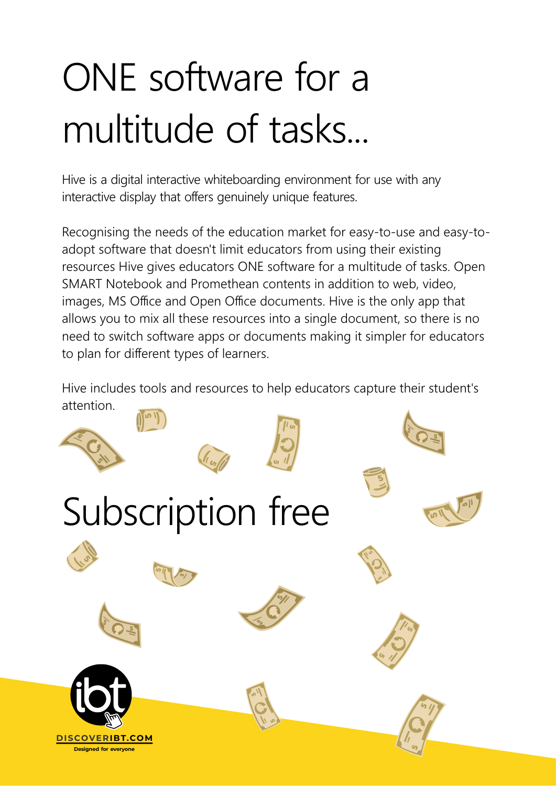## ONE software for a multitude of tasks...

Hive is a digital interactive whiteboarding environment for use with any interactive display that offers genuinely unique features.

Recognising the needs of the education market for easy-to-use and easy-toadopt software that doesn't limit educators from using their existing resources Hive gives educators ONE software for a multitude of tasks. Open SMART Notebook and Promethean contents in addition to web, video, images, MS Office and Open Office documents. Hive is the only app that allows you to mix all these resources into a single document, so there is no need to switch software apps or documents making it simpler for educators to plan for different types of learners.

Hive includes tools and resources to help educators capture their student's attention.

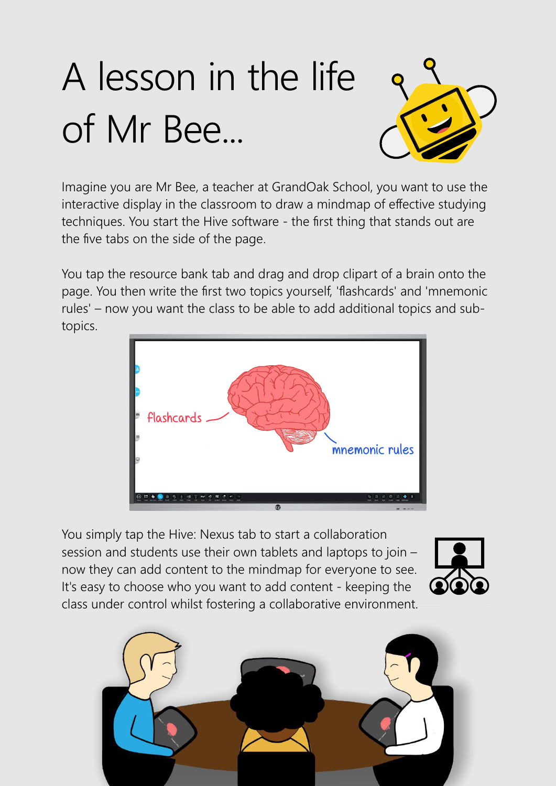## A lesson in the life of Mr Bee...



Imagine you are Mr Bee, a teacher at GrandOak School, you want to use the interactive display in the classroom to draw a mindmap of effective studying techniques. You start the Hive software - the first thing that stands out are the five tabs on the side of the page.

You tap the resource bank tab and drag and drop clipart of a brain onto the page. You then write the first two topics yourself, 'flashcards' and 'mnemonic rules' – now you want the class to be able to add additional topics and subtopics.



You simply tap the Hive: Nexus tab to start a collaboration session and students use their own tablets and laptops to join – now they can add content to the mindmap for everyone to see. It's easy to choose who you want to add content - keeping the class under control whilst fostering a collaborative environment.



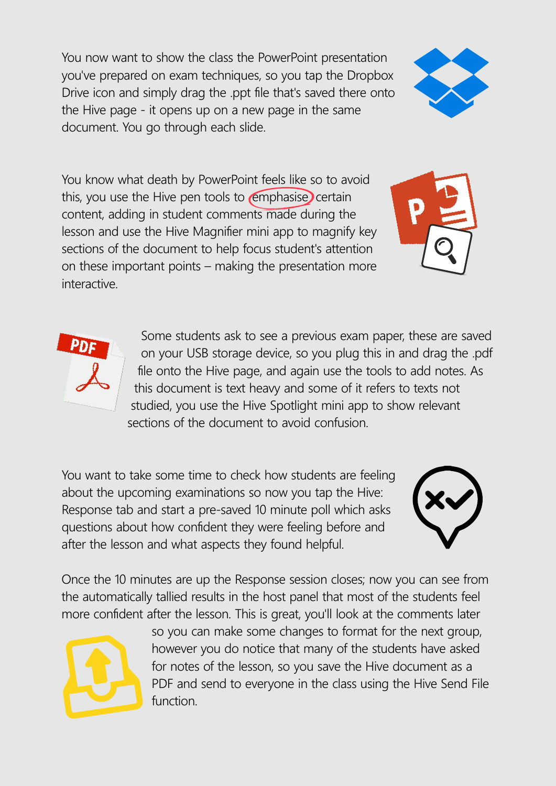You now want to show the class the PowerPoint presentation you've prepared on exam techniques, so you tap the Dropbox Drive icon and simply drag the .ppt file that's saved there onto the Hive page - it opens up on a new page in the same document. You go through each slide.



You know what death by PowerPoint feels like so to avoid this, you use the Hive pen tools to  $\epsilon$  emphasise) certain content, adding in student comments made during the lesson and use the Hive Magnifier mini app to magnify key sections of the document to help focus student's attention on these important points – making the presentation more interactive.





Some students ask to see a previous exam paper, these are saved on your USB storage device, so you plug this in and drag the .pdf file onto the Hive page, and again use the tools to add notes. As this document is text heavy and some of it refers to texts not studied, you use the Hive Spotlight mini app to show relevant sections of the document to avoid confusion.

You want to take some time to check how students are feeling about the upcoming examinations so now you tap the Hive: Response tab and start a pre-saved 10 minute poll which asks questions about how confident they were feeling before and after the lesson and what aspects they found helpful.



Once the 10 minutes are up the Response session closes; now you can see from the automatically tallied results in the host panel that most of the students feel more confident after the lesson. This is great, you'll look at the comments later



so you can make some changes to format for the next group, however you do notice that many of the students have asked for notes of the lesson, so you save the Hive document as a PDF and send to everyone in the class using the Hive Send File function.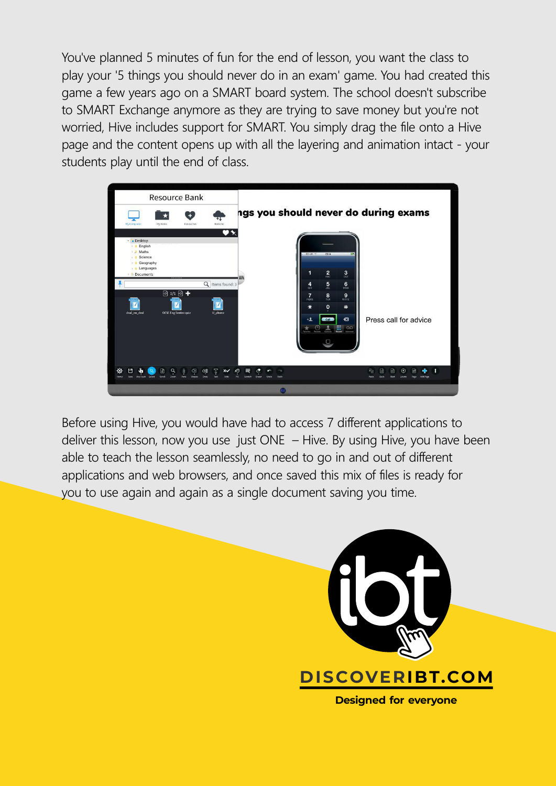You've planned 5 minutes of fun for the end of lesson, you want the class to play your '5 things you should never do in an exam' game. You had created this game a few years ago on a SMART board system. The school doesn't subscribe to SMART Exchange anymore as they are trying to save money but you're not worried, Hive includes support for SMART. You simply drag the file onto a Hive page and the content opens up with all the layering and animation intact - your students play until the end of class.



Before using Hive, you would have had to access 7 different applications to deliver this lesson, now you use just ONE – Hive. By using Hive, you have been able to teach the lesson seamlessly, no need to go in and out of different applications and web browsers, and once saved this mix of files is ready for you to use again and again as a single document saving you time.

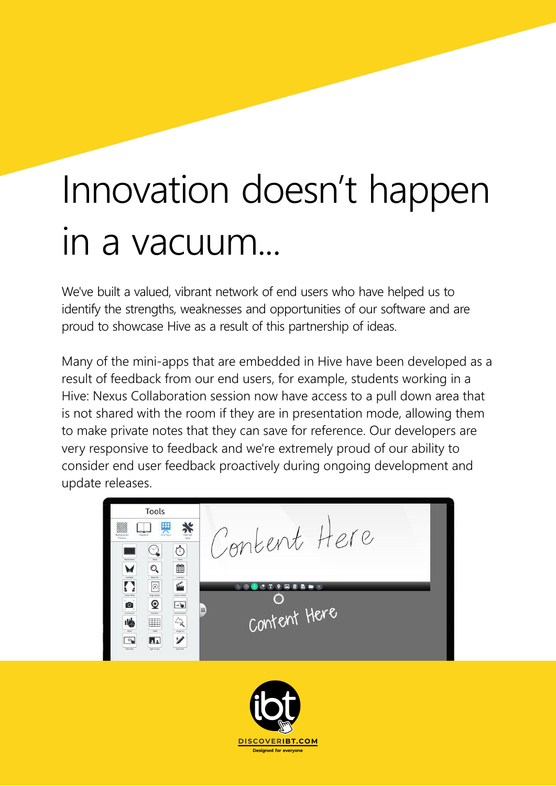## Innovation doesn't happen in a vacuum...

We've built a valued, vibrant network of end users who have helped us to identify the strengths, weaknesses and opportunities of our software and are proud to showcase Hive as a result of this partnership of ideas.

Many of the mini-apps that are embedded in Hive have been developed as a result of feedback from our end users, for example, students working in a Hive: Nexus Collaboration session now have access to a pull down area that is not shared with the room if they are in presentation mode, allowing them to make private notes that they can save for reference. Our developers are very responsive to feedback and we're extremely proud of our ability to consider end user feedback proactively during ongoing development and update releases.



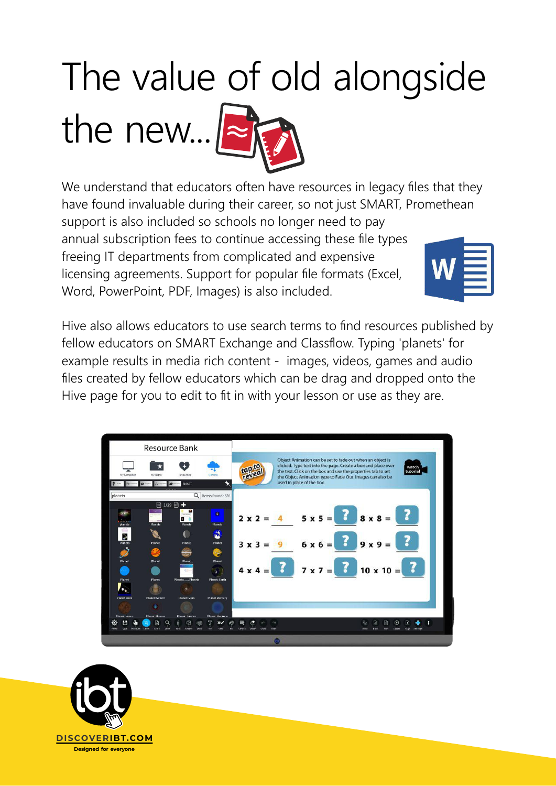# The value of old alongside

the new... $\approx$ 

We understand that educators often have resources in legacy files that they have found invaluable during their career, so not just SMART, Promethean support is also included so schools no longer need to pay annual subscription fees to continue accessing these file types freeing IT departments from complicated and expensive licensing agreements. Support for popular file formats (Excel, Word, PowerPoint, PDF, Images) is also included.

Hive also allows educators to use search terms to find resources published by fellow educators on SMART Exchange and Classflow. Typing 'planets' for example results in media rich content - images, videos, games and audio files created by fellow educators which can be drag and dropped onto the Hive page for you to edit to fit in with your lesson or use as they are.



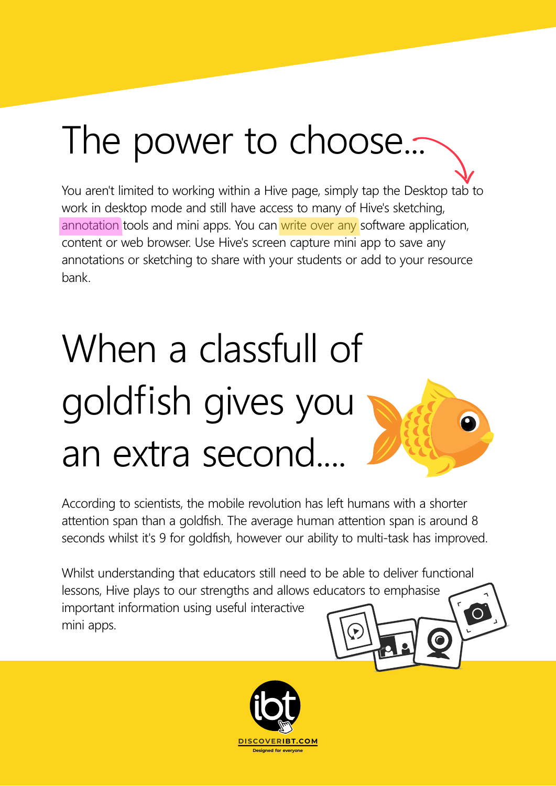### The power to choose...

You aren't limited to working within a Hive page, simply tap the Desktop tab to work in desktop mode and still have access to many of Hive's sketching, annotation tools and mini apps. You can write over any software application, content or web browser. Use Hive's screen capture mini app to save any annotations or sketching to share with your students or add to your resource bank.

## When a classfull of goldfish gives you an extra second....

According to scientists, the mobile revolution has left humans with a shorter attention span than a goldfish. The average human attention span is around 8 seconds whilst it's 9 for goldfish, however our ability to multi-task has improved.

Whilst understanding that educators still need to be able to deliver functional lessons, Hive plays to our strengths and allows educators to emphasise important information using useful interactive  $\bigcirc$ mini apps.